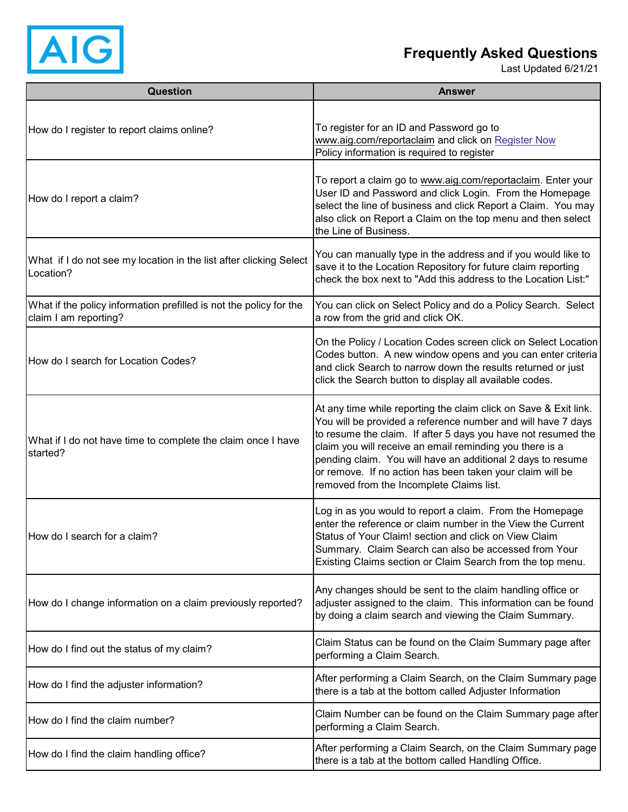

## **Frequently Asked Questions**

Last Updated 6/21/21

| Question                                                                                    | <b>Answer</b>                                                                                                                                                                                                                                                                                                                                                                                                                         |
|---------------------------------------------------------------------------------------------|---------------------------------------------------------------------------------------------------------------------------------------------------------------------------------------------------------------------------------------------------------------------------------------------------------------------------------------------------------------------------------------------------------------------------------------|
| How do I register to report claims online?                                                  | To register for an ID and Password go to<br>www.aig.com/reportaclaim and click on Register Now<br>Policy information is required to register                                                                                                                                                                                                                                                                                          |
| How do I report a claim?                                                                    | To report a claim go to www.aig.com/reportaclaim. Enter your<br>User ID and Password and click Login. From the Homepage<br>select the line of business and click Report a Claim. You may<br>also click on Report a Claim on the top menu and then select<br>the Line of Business.                                                                                                                                                     |
| What if I do not see my location in the list after clicking Select<br>Location?             | You can manually type in the address and if you would like to<br>save it to the Location Repository for future claim reporting<br>check the box next to "Add this address to the Location List:"                                                                                                                                                                                                                                      |
| What if the policy information prefilled is not the policy for the<br>claim I am reporting? | You can click on Select Policy and do a Policy Search. Select<br>a row from the grid and click OK.                                                                                                                                                                                                                                                                                                                                    |
| How do I search for Location Codes?                                                         | On the Policy / Location Codes screen click on Select Location<br>Codes button. A new window opens and you can enter criteria<br>and click Search to narrow down the results returned or just<br>click the Search button to display all available codes.                                                                                                                                                                              |
| What if I do not have time to complete the claim once I have<br>started?                    | At any time while reporting the claim click on Save & Exit link.<br>You will be provided a reference number and will have 7 days<br>to resume the claim. If after 5 days you have not resumed the<br>claim you will receive an email reminding you there is a<br>pending claim. You will have an additional 2 days to resume<br>or remove. If no action has been taken your claim will be<br>removed from the Incomplete Claims list. |
| How do I search for a claim?                                                                | Log in as you would to report a claim. From the Homepage<br>enter the reference or claim number in the View the Current<br>Status of Your Claim! section and click on View Claim<br>Summary. Claim Search can also be accessed from Your<br>Existing Claims section or Claim Search from the top menu.                                                                                                                                |
| How do I change information on a claim previously reported?                                 | Any changes should be sent to the claim handling office or<br>adjuster assigned to the claim. This information can be found<br>by doing a claim search and viewing the Claim Summary.                                                                                                                                                                                                                                                 |
| How do I find out the status of my claim?                                                   | Claim Status can be found on the Claim Summary page after<br>performing a Claim Search.                                                                                                                                                                                                                                                                                                                                               |
| How do I find the adjuster information?                                                     | After performing a Claim Search, on the Claim Summary page<br>there is a tab at the bottom called Adjuster Information                                                                                                                                                                                                                                                                                                                |
| How do I find the claim number?                                                             | Claim Number can be found on the Claim Summary page after<br>performing a Claim Search.                                                                                                                                                                                                                                                                                                                                               |
| How do I find the claim handling office?                                                    | After performing a Claim Search, on the Claim Summary page<br>there is a tab at the bottom called Handling Office.                                                                                                                                                                                                                                                                                                                    |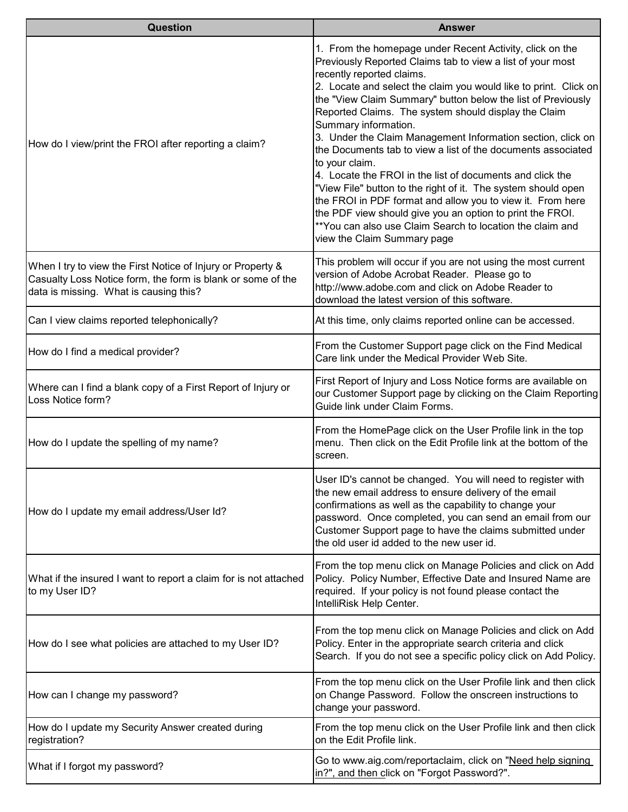| Question                                                                                                                                                             | <b>Answer</b>                                                                                                                                                                                                                                                                                                                                                                                                                                                                                                                                                                                                                                                                                                                                                                                                                                                                 |
|----------------------------------------------------------------------------------------------------------------------------------------------------------------------|-------------------------------------------------------------------------------------------------------------------------------------------------------------------------------------------------------------------------------------------------------------------------------------------------------------------------------------------------------------------------------------------------------------------------------------------------------------------------------------------------------------------------------------------------------------------------------------------------------------------------------------------------------------------------------------------------------------------------------------------------------------------------------------------------------------------------------------------------------------------------------|
| How do I view/print the FROI after reporting a claim?                                                                                                                | 1. From the homepage under Recent Activity, click on the<br>Previously Reported Claims tab to view a list of your most<br>recently reported claims.<br>2. Locate and select the claim you would like to print. Click on<br>the "View Claim Summary" button below the list of Previously<br>Reported Claims. The system should display the Claim<br>Summary information.<br>3. Under the Claim Management Information section, click on<br>the Documents tab to view a list of the documents associated<br>to your claim.<br>4. Locate the FROI in the list of documents and click the<br>"View File" button to the right of it. The system should open<br>the FROI in PDF format and allow you to view it. From here<br>the PDF view should give you an option to print the FROI.<br>**You can also use Claim Search to location the claim and<br>view the Claim Summary page |
| When I try to view the First Notice of Injury or Property &<br>Casualty Loss Notice form, the form is blank or some of the<br>data is missing. What is causing this? | This problem will occur if you are not using the most current<br>version of Adobe Acrobat Reader. Please go to<br>http://www.adobe.com and click on Adobe Reader to<br>download the latest version of this software.                                                                                                                                                                                                                                                                                                                                                                                                                                                                                                                                                                                                                                                          |
| Can I view claims reported telephonically?                                                                                                                           | At this time, only claims reported online can be accessed.                                                                                                                                                                                                                                                                                                                                                                                                                                                                                                                                                                                                                                                                                                                                                                                                                    |
| How do I find a medical provider?                                                                                                                                    | From the Customer Support page click on the Find Medical<br>Care link under the Medical Provider Web Site.                                                                                                                                                                                                                                                                                                                                                                                                                                                                                                                                                                                                                                                                                                                                                                    |
| Where can I find a blank copy of a First Report of Injury or<br>Loss Notice form?                                                                                    | First Report of Injury and Loss Notice forms are available on<br>our Customer Support page by clicking on the Claim Reporting<br>Guide link under Claim Forms.                                                                                                                                                                                                                                                                                                                                                                                                                                                                                                                                                                                                                                                                                                                |
| How do I update the spelling of my name?                                                                                                                             | From the HomePage click on the User Profile link in the top<br>menu. Then click on the Edit Profile link at the bottom of the<br>screen.                                                                                                                                                                                                                                                                                                                                                                                                                                                                                                                                                                                                                                                                                                                                      |
| How do I update my email address/User Id?                                                                                                                            | User ID's cannot be changed. You will need to register with<br>the new email address to ensure delivery of the email<br>confirmations as well as the capability to change your<br>password. Once completed, you can send an email from our<br>Customer Support page to have the claims submitted under<br>the old user id added to the new user id.                                                                                                                                                                                                                                                                                                                                                                                                                                                                                                                           |
| What if the insured I want to report a claim for is not attached<br>to my User ID?                                                                                   | From the top menu click on Manage Policies and click on Add<br>Policy. Policy Number, Effective Date and Insured Name are<br>required. If your policy is not found please contact the<br>IntelliRisk Help Center.                                                                                                                                                                                                                                                                                                                                                                                                                                                                                                                                                                                                                                                             |
| How do I see what policies are attached to my User ID?                                                                                                               | From the top menu click on Manage Policies and click on Add<br>Policy. Enter in the appropriate search criteria and click<br>Search. If you do not see a specific policy click on Add Policy.                                                                                                                                                                                                                                                                                                                                                                                                                                                                                                                                                                                                                                                                                 |
| How can I change my password?                                                                                                                                        | From the top menu click on the User Profile link and then click<br>on Change Password. Follow the onscreen instructions to<br>change your password.                                                                                                                                                                                                                                                                                                                                                                                                                                                                                                                                                                                                                                                                                                                           |
| How do I update my Security Answer created during<br>registration?                                                                                                   | From the top menu click on the User Profile link and then click<br>on the Edit Profile link.                                                                                                                                                                                                                                                                                                                                                                                                                                                                                                                                                                                                                                                                                                                                                                                  |
| What if I forgot my password?                                                                                                                                        | Go to www.aig.com/reportaclaim, click on "Need help signing<br>in?", and then click on "Forgot Password?".                                                                                                                                                                                                                                                                                                                                                                                                                                                                                                                                                                                                                                                                                                                                                                    |